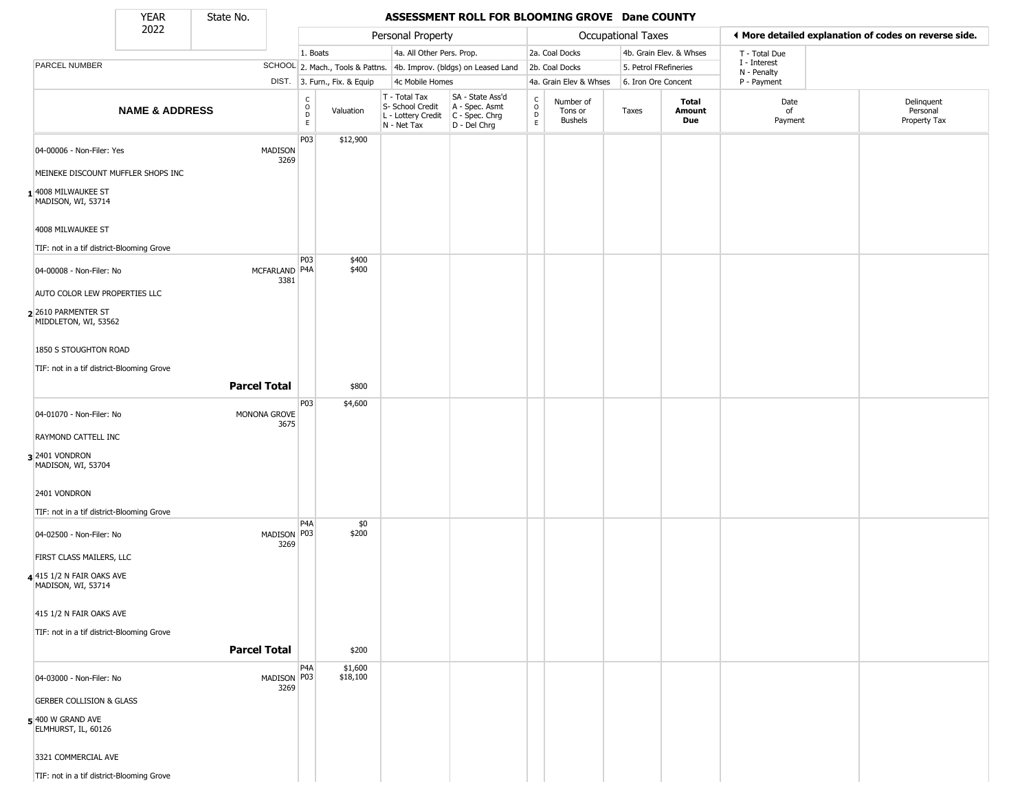State No.

Г

#### YEAR State No. **ASSESSMENT ROLL FOR BLOOMING GROVE Dane COUNTY**

|                                                   | 2022                      |                       |                                            |                              | Personal Property                                                      |                                                                      |                                            |                                        | Occupational Taxes    |                         |                             | ♦ More detailed explanation of codes on reverse side. |
|---------------------------------------------------|---------------------------|-----------------------|--------------------------------------------|------------------------------|------------------------------------------------------------------------|----------------------------------------------------------------------|--------------------------------------------|----------------------------------------|-----------------------|-------------------------|-----------------------------|-------------------------------------------------------|
|                                                   |                           |                       | 1. Boats                                   |                              | 4a. All Other Pers. Prop.                                              |                                                                      |                                            | 2a. Coal Docks                         |                       | 4b. Grain Elev. & Whses | T - Total Due               |                                                       |
| PARCEL NUMBER                                     |                           |                       |                                            |                              |                                                                        | SCHOOL 2. Mach., Tools & Pattns. 4b. Improv. (bldgs) on Leased Land  |                                            | 2b. Coal Docks                         | 5. Petrol FRefineries |                         | I - Interest<br>N - Penalty |                                                       |
|                                                   |                           |                       |                                            | DIST. 3. Furn., Fix. & Equip | 4c Mobile Homes                                                        |                                                                      |                                            | 4a. Grain Elev & Whses                 | 6. Iron Ore Concent   |                         | P - Payment                 |                                                       |
|                                                   | <b>NAME &amp; ADDRESS</b> |                       | C<br>$\circ$<br>$\mathsf D$<br>$\mathsf E$ | Valuation                    | T - Total Tax<br>S- School Credit<br>L - Lottery Credit<br>N - Net Tax | SA - State Ass'd<br>A - Spec. Asmt<br>C - Spec. Chrg<br>D - Del Chrg | $\begin{array}{c} C \\ O \\ E \end{array}$ | Number of<br>Tons or<br><b>Bushels</b> | Taxes                 | Total<br>Amount<br>Due  | Date<br>of<br>Payment       | Delinquent<br>Personal<br>Property Tax                |
| 04-00006 - Non-Filer: Yes                         |                           | MADISON               | P03                                        | \$12,900                     |                                                                        |                                                                      |                                            |                                        |                       |                         |                             |                                                       |
| MEINEKE DISCOUNT MUFFLER SHOPS INC                |                           | 3269                  |                                            |                              |                                                                        |                                                                      |                                            |                                        |                       |                         |                             |                                                       |
| 1 4008 MILWAUKEE ST<br>MADISON, WI, 53714         |                           |                       |                                            |                              |                                                                        |                                                                      |                                            |                                        |                       |                         |                             |                                                       |
| 4008 MILWAUKEE ST                                 |                           |                       |                                            |                              |                                                                        |                                                                      |                                            |                                        |                       |                         |                             |                                                       |
| TIF: not in a tif district-Blooming Grove         |                           |                       |                                            |                              |                                                                        |                                                                      |                                            |                                        |                       |                         |                             |                                                       |
| 04-00008 - Non-Filer: No                          |                           | MCFARLAND P4A<br>3381 | P03                                        | \$400<br>\$400               |                                                                        |                                                                      |                                            |                                        |                       |                         |                             |                                                       |
| AUTO COLOR LEW PROPERTIES LLC                     |                           |                       |                                            |                              |                                                                        |                                                                      |                                            |                                        |                       |                         |                             |                                                       |
| 2 2610 PARMENTER ST<br>MIDDLETON, WI, 53562       |                           |                       |                                            |                              |                                                                        |                                                                      |                                            |                                        |                       |                         |                             |                                                       |
| 1850 S STOUGHTON ROAD                             |                           |                       |                                            |                              |                                                                        |                                                                      |                                            |                                        |                       |                         |                             |                                                       |
| TIF: not in a tif district-Blooming Grove         |                           |                       |                                            |                              |                                                                        |                                                                      |                                            |                                        |                       |                         |                             |                                                       |
|                                                   |                           | <b>Parcel Total</b>   |                                            | \$800                        |                                                                        |                                                                      |                                            |                                        |                       |                         |                             |                                                       |
| 04-01070 - Non-Filer: No                          |                           | MONONA GROVE<br>3675  | P03                                        | \$4,600                      |                                                                        |                                                                      |                                            |                                        |                       |                         |                             |                                                       |
| RAYMOND CATTELL INC                               |                           |                       |                                            |                              |                                                                        |                                                                      |                                            |                                        |                       |                         |                             |                                                       |
| 32401 VONDRON<br>MADISON, WI, 53704               |                           |                       |                                            |                              |                                                                        |                                                                      |                                            |                                        |                       |                         |                             |                                                       |
| 2401 VONDRON                                      |                           |                       |                                            |                              |                                                                        |                                                                      |                                            |                                        |                       |                         |                             |                                                       |
| TIF: not in a tif district-Blooming Grove         |                           |                       |                                            |                              |                                                                        |                                                                      |                                            |                                        |                       |                         |                             |                                                       |
| 04-02500 - Non-Filer: No                          |                           | MADISON P03<br>3269   | P4A                                        | \$0<br>\$200                 |                                                                        |                                                                      |                                            |                                        |                       |                         |                             |                                                       |
| FIRST CLASS MAILERS, LLC                          |                           |                       |                                            |                              |                                                                        |                                                                      |                                            |                                        |                       |                         |                             |                                                       |
| $4$ 415 1/2 N FAIR OAKS AVE<br>MADISON, WI, 53714 |                           |                       |                                            |                              |                                                                        |                                                                      |                                            |                                        |                       |                         |                             |                                                       |
| 415 1/2 N FAIR OAKS AVE                           |                           |                       |                                            |                              |                                                                        |                                                                      |                                            |                                        |                       |                         |                             |                                                       |
| TIF: not in a tif district-Blooming Grove         |                           | <b>Parcel Total</b>   |                                            | \$200                        |                                                                        |                                                                      |                                            |                                        |                       |                         |                             |                                                       |
|                                                   |                           |                       | P4A                                        |                              |                                                                        |                                                                      |                                            |                                        |                       |                         |                             |                                                       |
| 04-03000 - Non-Filer: No                          |                           | MADISON P03<br>3269   |                                            | \$1,600<br>\$18,100          |                                                                        |                                                                      |                                            |                                        |                       |                         |                             |                                                       |
| <b>GERBER COLLISION &amp; GLASS</b>               |                           |                       |                                            |                              |                                                                        |                                                                      |                                            |                                        |                       |                         |                             |                                                       |
| 5 400 W GRAND AVE<br>ELMHURST, IL, 60126          |                           |                       |                                            |                              |                                                                        |                                                                      |                                            |                                        |                       |                         |                             |                                                       |
| 3321 COMMERCIAL AVE                               |                           |                       |                                            |                              |                                                                        |                                                                      |                                            |                                        |                       |                         |                             |                                                       |
| TIF: not in a tif district-Blooming Grove         |                           |                       |                                            |                              |                                                                        |                                                                      |                                            |                                        |                       |                         |                             |                                                       |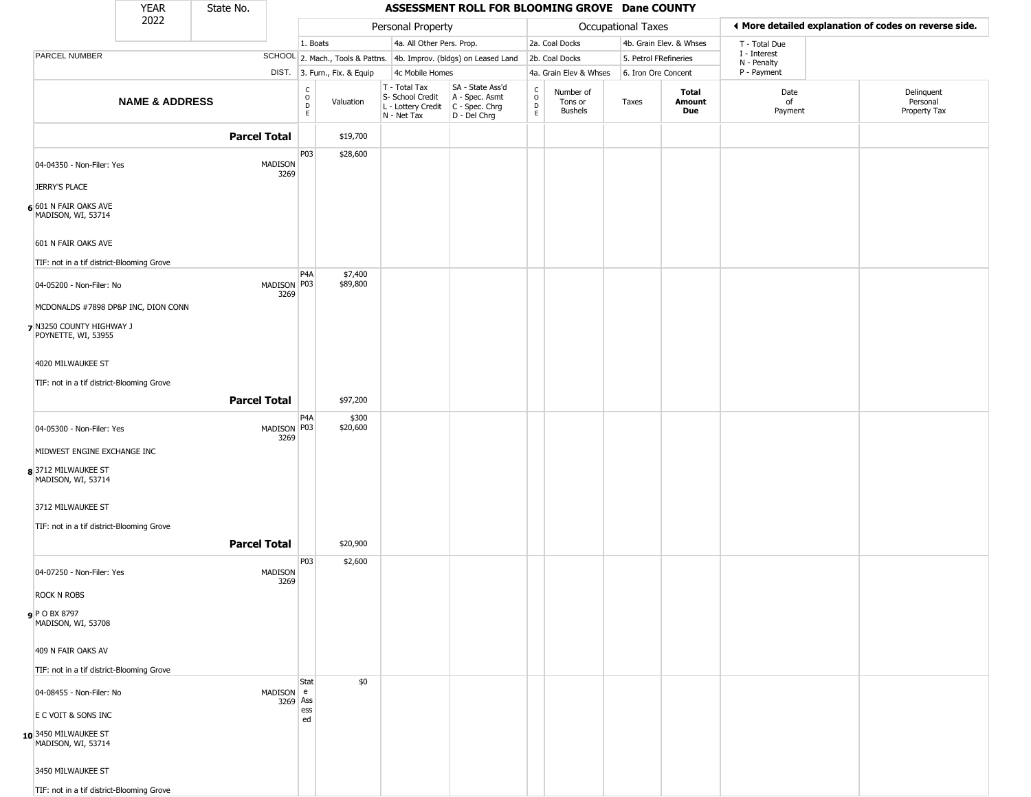|                                                 | <b>YEAR</b>               | State No.              |                              |                              |                                                                                         | ASSESSMENT ROLL FOR BLOOMING GROVE Dane COUNTY                      |                                           |                                        |                     |                         |                             |                                                       |
|-------------------------------------------------|---------------------------|------------------------|------------------------------|------------------------------|-----------------------------------------------------------------------------------------|---------------------------------------------------------------------|-------------------------------------------|----------------------------------------|---------------------|-------------------------|-----------------------------|-------------------------------------------------------|
|                                                 | 2022                      |                        |                              |                              | Personal Property                                                                       |                                                                     |                                           |                                        | Occupational Taxes  |                         |                             | ♦ More detailed explanation of codes on reverse side. |
|                                                 |                           |                        |                              | 1. Boats                     | 4a. All Other Pers. Prop.                                                               |                                                                     |                                           | 2a. Coal Docks                         |                     | 4b. Grain Elev. & Whses | T - Total Due               |                                                       |
| PARCEL NUMBER                                   |                           |                        |                              |                              |                                                                                         | SCHOOL 2. Mach., Tools & Pattns. 4b. Improv. (bldgs) on Leased Land |                                           | 2b. Coal Docks                         |                     | 5. Petrol FRefineries   | I - Interest<br>N - Penalty |                                                       |
|                                                 |                           |                        |                              | DIST. 3. Furn., Fix. & Equip | 4c Mobile Homes                                                                         |                                                                     |                                           | 4a. Grain Elev & Whses                 | 6. Iron Ore Concent |                         | P - Payment                 |                                                       |
|                                                 | <b>NAME &amp; ADDRESS</b> |                        | $_{\rm o}^{\rm c}$<br>D<br>E | Valuation                    | T - Total Tax<br>S- School Credit<br>L - Lottery Credit   C - Spec. Chrg<br>N - Net Tax | SA - State Ass'd<br>A - Spec. Asmt<br>D - Del Chrg                  | $_{\rm o}^{\rm c}$<br>$\overline{D}$<br>E | Number of<br>Tons or<br><b>Bushels</b> | Taxes               | Total<br>Amount<br>Due  | Date<br>of<br>Payment       | Delinquent<br>Personal<br>Property Tax                |
|                                                 |                           | <b>Parcel Total</b>    |                              | \$19,700                     |                                                                                         |                                                                     |                                           |                                        |                     |                         |                             |                                                       |
| 04-04350 - Non-Filer: Yes                       |                           | <b>MADISON</b><br>3269 | P03                          | \$28,600                     |                                                                                         |                                                                     |                                           |                                        |                     |                         |                             |                                                       |
| <b>JERRY'S PLACE</b>                            |                           |                        |                              |                              |                                                                                         |                                                                     |                                           |                                        |                     |                         |                             |                                                       |
| 6 601 N FAIR OAKS AVE<br>MADISON, WI, 53714     |                           |                        |                              |                              |                                                                                         |                                                                     |                                           |                                        |                     |                         |                             |                                                       |
| 601 N FAIR OAKS AVE                             |                           |                        |                              |                              |                                                                                         |                                                                     |                                           |                                        |                     |                         |                             |                                                       |
| TIF: not in a tif district-Blooming Grove       |                           |                        |                              |                              |                                                                                         |                                                                     |                                           |                                        |                     |                         |                             |                                                       |
| 04-05200 - Non-Filer: No                        |                           | MADISON P03<br>3269    | P4A                          | \$7,400<br>\$89,800          |                                                                                         |                                                                     |                                           |                                        |                     |                         |                             |                                                       |
| MCDONALDS #7898 DP&P INC, DION CONN             |                           |                        |                              |                              |                                                                                         |                                                                     |                                           |                                        |                     |                         |                             |                                                       |
| 7 N3250 COUNTY HIGHWAY J<br>POYNETTE, WI, 53955 |                           |                        |                              |                              |                                                                                         |                                                                     |                                           |                                        |                     |                         |                             |                                                       |
| 4020 MILWAUKEE ST                               |                           |                        |                              |                              |                                                                                         |                                                                     |                                           |                                        |                     |                         |                             |                                                       |
| TIF: not in a tif district-Blooming Grove       |                           |                        |                              |                              |                                                                                         |                                                                     |                                           |                                        |                     |                         |                             |                                                       |
|                                                 |                           | <b>Parcel Total</b>    |                              | \$97,200                     |                                                                                         |                                                                     |                                           |                                        |                     |                         |                             |                                                       |
| 04-05300 - Non-Filer: Yes                       |                           | MADISON P03            | P4A                          | \$300<br>\$20,600            |                                                                                         |                                                                     |                                           |                                        |                     |                         |                             |                                                       |
| MIDWEST ENGINE EXCHANGE INC                     |                           | 3269                   |                              |                              |                                                                                         |                                                                     |                                           |                                        |                     |                         |                             |                                                       |
| 83712 MILWAUKEE ST<br>MADISON, WI, 53714        |                           |                        |                              |                              |                                                                                         |                                                                     |                                           |                                        |                     |                         |                             |                                                       |
| 3712 MILWAUKEE ST                               |                           |                        |                              |                              |                                                                                         |                                                                     |                                           |                                        |                     |                         |                             |                                                       |
| TIF: not in a tif district-Blooming Grove       |                           |                        |                              |                              |                                                                                         |                                                                     |                                           |                                        |                     |                         |                             |                                                       |
|                                                 |                           | <b>Parcel Total</b>    |                              | \$20,900                     |                                                                                         |                                                                     |                                           |                                        |                     |                         |                             |                                                       |
| 04-07250 - Non-Filer: Yes                       |                           | <b>MADISON</b><br>3269 | P03                          | \$2,600                      |                                                                                         |                                                                     |                                           |                                        |                     |                         |                             |                                                       |
| <b>ROCK N ROBS</b>                              |                           |                        |                              |                              |                                                                                         |                                                                     |                                           |                                        |                     |                         |                             |                                                       |
| <b>9</b> P O BX 8797<br>MADISON, WI, 53708      |                           |                        |                              |                              |                                                                                         |                                                                     |                                           |                                        |                     |                         |                             |                                                       |
| 409 N FAIR OAKS AV                              |                           |                        |                              |                              |                                                                                         |                                                                     |                                           |                                        |                     |                         |                             |                                                       |
| TIF: not in a tif district-Blooming Grove       |                           |                        |                              |                              |                                                                                         |                                                                     |                                           |                                        |                     |                         |                             |                                                       |
| 04-08455 - Non-Filer: No                        |                           | MADISON e              | Stat<br>3269 Ass             | \$0                          |                                                                                         |                                                                     |                                           |                                        |                     |                         |                             |                                                       |
| E C VOIT & SONS INC                             |                           |                        | ess<br>ed                    |                              |                                                                                         |                                                                     |                                           |                                        |                     |                         |                             |                                                       |
| $10$ 3450 milwaukee st<br>MADISON, WI, 53714    |                           |                        |                              |                              |                                                                                         |                                                                     |                                           |                                        |                     |                         |                             |                                                       |
| 3450 MILWAUKEE ST                               |                           |                        |                              |                              |                                                                                         |                                                                     |                                           |                                        |                     |                         |                             |                                                       |
| TIF: not in a tif district-Blooming Grove       |                           |                        |                              |                              |                                                                                         |                                                                     |                                           |                                        |                     |                         |                             |                                                       |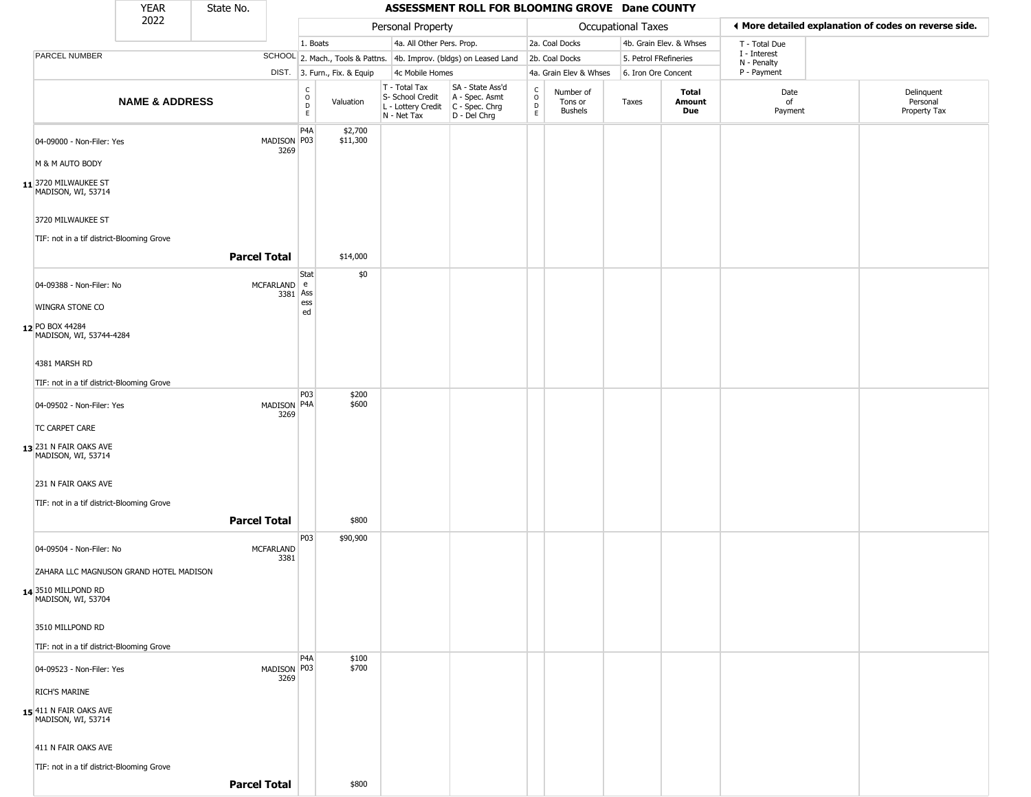|                                                                | <b>YEAR</b>               | State No.           |                          |                                           |                              |                                                                                         | ASSESSMENT ROLL FOR BLOOMING GROVE Dane COUNTY                      |                         |                                 |                       |                         |                             |                                                        |
|----------------------------------------------------------------|---------------------------|---------------------|--------------------------|-------------------------------------------|------------------------------|-----------------------------------------------------------------------------------------|---------------------------------------------------------------------|-------------------------|---------------------------------|-----------------------|-------------------------|-----------------------------|--------------------------------------------------------|
|                                                                | 2022                      |                     |                          |                                           |                              | Personal Property                                                                       |                                                                     |                         |                                 | Occupational Taxes    |                         |                             | If More detailed explanation of codes on reverse side. |
|                                                                |                           |                     |                          | 1. Boats                                  |                              | 4a. All Other Pers. Prop.                                                               |                                                                     |                         | 2a. Coal Docks                  |                       | 4b. Grain Elev. & Whses | T - Total Due               |                                                        |
| PARCEL NUMBER                                                  |                           |                     |                          |                                           |                              |                                                                                         | SCHOOL 2. Mach., Tools & Pattns. 4b. Improv. (bldgs) on Leased Land |                         | 2b. Coal Docks                  | 5. Petrol FRefineries |                         | I - Interest<br>N - Penalty |                                                        |
|                                                                |                           |                     |                          |                                           | DIST. 3. Furn., Fix. & Equip | 4c Mobile Homes                                                                         |                                                                     |                         | 4a. Grain Elev & Whses          | 6. Iron Ore Concent   |                         | P - Payment                 |                                                        |
|                                                                | <b>NAME &amp; ADDRESS</b> |                     |                          | $_{\rm o}^{\rm c}$<br>$\overline{D}$<br>E | Valuation                    | T - Total Tax<br>S- School Credit<br>L - Lottery Credit   C - Spec. Chrg<br>N - Net Tax | SA - State Ass'd<br>A - Spec. Asmt<br>$D - Del Chrg$                | C<br>$\circ$<br>D<br>E. | Number of<br>Tons or<br>Bushels | Taxes                 | Total<br>Amount<br>Due  | Date<br>of<br>Payment       | Delinquent<br>Personal<br>Property Tax                 |
| 04-09000 - Non-Filer: Yes                                      |                           |                     | MADISON P03<br>3269      | P <sub>4</sub> A                          | \$2,700<br>\$11,300          |                                                                                         |                                                                     |                         |                                 |                       |                         |                             |                                                        |
| M & M AUTO BODY                                                |                           |                     |                          |                                           |                              |                                                                                         |                                                                     |                         |                                 |                       |                         |                             |                                                        |
| 11 3720 MILWAUKEE ST<br>MADISON, WI, 53714                     |                           |                     |                          |                                           |                              |                                                                                         |                                                                     |                         |                                 |                       |                         |                             |                                                        |
| 3720 MILWAUKEE ST<br>TIF: not in a tif district-Blooming Grove |                           |                     |                          |                                           |                              |                                                                                         |                                                                     |                         |                                 |                       |                         |                             |                                                        |
|                                                                |                           | <b>Parcel Total</b> |                          |                                           | \$14,000                     |                                                                                         |                                                                     |                         |                                 |                       |                         |                             |                                                        |
| 04-09388 - Non-Filer: No                                       |                           |                     | MCFARLAND e<br>3381 Ass  | Stat                                      | \$0                          |                                                                                         |                                                                     |                         |                                 |                       |                         |                             |                                                        |
| WINGRA STONE CO                                                |                           |                     |                          | ess<br>ed                                 |                              |                                                                                         |                                                                     |                         |                                 |                       |                         |                             |                                                        |
| 12 PO BOX 44284<br>MADISON, WI, 53744-4284                     |                           |                     |                          |                                           |                              |                                                                                         |                                                                     |                         |                                 |                       |                         |                             |                                                        |
| 4381 MARSH RD                                                  |                           |                     |                          |                                           |                              |                                                                                         |                                                                     |                         |                                 |                       |                         |                             |                                                        |
| TIF: not in a tif district-Blooming Grove                      |                           |                     |                          |                                           |                              |                                                                                         |                                                                     |                         |                                 |                       |                         |                             |                                                        |
| 04-09502 - Non-Filer: Yes                                      |                           |                     | MADISON P4A              | P03                                       | \$200<br>\$600               |                                                                                         |                                                                     |                         |                                 |                       |                         |                             |                                                        |
| TC CARPET CARE                                                 |                           |                     | 3269                     |                                           |                              |                                                                                         |                                                                     |                         |                                 |                       |                         |                             |                                                        |
| 13 231 N FAIR OAKS AVE<br>MADISON, WI, 53714                   |                           |                     |                          |                                           |                              |                                                                                         |                                                                     |                         |                                 |                       |                         |                             |                                                        |
| 231 N FAIR OAKS AVE                                            |                           |                     |                          |                                           |                              |                                                                                         |                                                                     |                         |                                 |                       |                         |                             |                                                        |
| TIF: not in a tif district-Blooming Grove                      |                           |                     |                          |                                           |                              |                                                                                         |                                                                     |                         |                                 |                       |                         |                             |                                                        |
|                                                                |                           | <b>Parcel Total</b> |                          |                                           | \$800                        |                                                                                         |                                                                     |                         |                                 |                       |                         |                             |                                                        |
| 04-09504 - Non-Filer: No                                       |                           |                     | <b>MCFARLAND</b><br>3381 | P03                                       | \$90,900                     |                                                                                         |                                                                     |                         |                                 |                       |                         |                             |                                                        |
| ZAHARA LLC MAGNUSON GRAND HOTEL MADISON                        |                           |                     |                          |                                           |                              |                                                                                         |                                                                     |                         |                                 |                       |                         |                             |                                                        |
| 14 3510 MILLPOND RD<br>MADISON, WI, 53704                      |                           |                     |                          |                                           |                              |                                                                                         |                                                                     |                         |                                 |                       |                         |                             |                                                        |
| 3510 MILLPOND RD                                               |                           |                     |                          |                                           |                              |                                                                                         |                                                                     |                         |                                 |                       |                         |                             |                                                        |
| TIF: not in a tif district-Blooming Grove                      |                           |                     |                          |                                           |                              |                                                                                         |                                                                     |                         |                                 |                       |                         |                             |                                                        |
| 04-09523 - Non-Filer: Yes                                      |                           |                     | MADISON P03<br>3269      | P4A                                       | \$100<br>\$700               |                                                                                         |                                                                     |                         |                                 |                       |                         |                             |                                                        |
| RICH'S MARINE                                                  |                           |                     |                          |                                           |                              |                                                                                         |                                                                     |                         |                                 |                       |                         |                             |                                                        |
| 15 411 N FAIR OAKS AVE<br>MADISON, WI, 53714                   |                           |                     |                          |                                           |                              |                                                                                         |                                                                     |                         |                                 |                       |                         |                             |                                                        |
| 411 N FAIR OAKS AVE                                            |                           |                     |                          |                                           |                              |                                                                                         |                                                                     |                         |                                 |                       |                         |                             |                                                        |
| TIF: not in a tif district-Blooming Grove                      |                           |                     |                          |                                           |                              |                                                                                         |                                                                     |                         |                                 |                       |                         |                             |                                                        |
|                                                                |                           | <b>Parcel Total</b> |                          |                                           | \$800                        |                                                                                         |                                                                     |                         |                                 |                       |                         |                             |                                                        |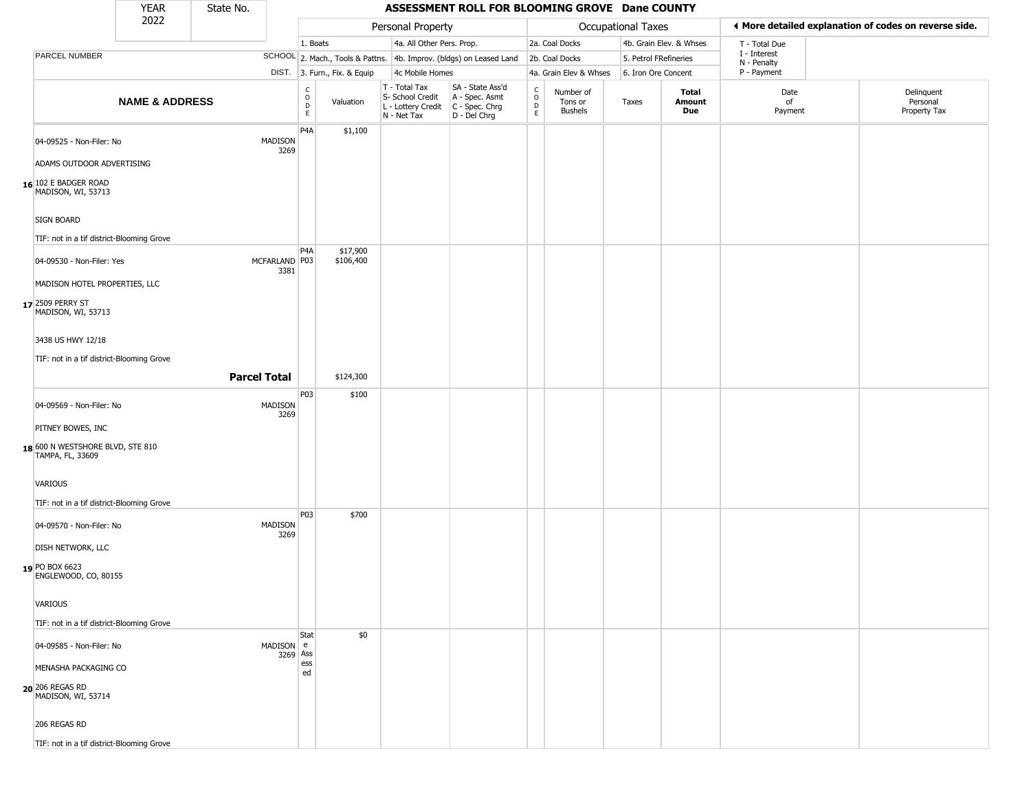|                                                                | <b>YEAR</b>               | State No.              |                                                                    |                              |                                                                                         | ASSESSMENT ROLL FOR BLOOMING GROVE Dane COUNTY                      |                                          |                                 |                    |                         |                             |                                                       |
|----------------------------------------------------------------|---------------------------|------------------------|--------------------------------------------------------------------|------------------------------|-----------------------------------------------------------------------------------------|---------------------------------------------------------------------|------------------------------------------|---------------------------------|--------------------|-------------------------|-----------------------------|-------------------------------------------------------|
|                                                                | 2022                      |                        |                                                                    |                              | Personal Property                                                                       |                                                                     |                                          |                                 | Occupational Taxes |                         |                             | ♦ More detailed explanation of codes on reverse side. |
|                                                                |                           |                        | 1. Boats                                                           |                              | 4a. All Other Pers. Prop.                                                               |                                                                     |                                          | 2a. Coal Docks                  |                    | 4b. Grain Elev. & Whses | T - Total Due               |                                                       |
| PARCEL NUMBER                                                  |                           |                        |                                                                    |                              |                                                                                         | SCHOOL 2. Mach., Tools & Pattns. 4b. Improv. (bldgs) on Leased Land |                                          | 2b. Coal Docks                  |                    | 5. Petrol FRefineries   | I - Interest<br>N - Penalty |                                                       |
|                                                                |                           |                        |                                                                    | DIST. 3. Furn., Fix. & Equip | 4c Mobile Homes                                                                         |                                                                     |                                          | 4a. Grain Elev & Whses          |                    | 6. Iron Ore Concent     | P - Payment                 |                                                       |
|                                                                | <b>NAME &amp; ADDRESS</b> |                        | $\begin{smallmatrix} C \\ O \\ D \end{smallmatrix}$<br>$\mathsf E$ | Valuation                    | T - Total Tax<br>S- School Credit<br>L - Lottery Credit   C - Spec. Chrg<br>N - Net Tax | SA - State Ass'd<br>A - Spec. Asmt<br>D - Del Chrg                  | $\rm _o^C$<br>$\mathsf D$<br>$\mathsf E$ | Number of<br>Tons or<br>Bushels | Taxes              | Total<br>Amount<br>Due  | Date<br>of<br>Payment       | Delinquent<br>Personal<br>Property Tax                |
| 04-09525 - Non-Filer: No<br>ADAMS OUTDOOR ADVERTISING          |                           | MADISON<br>3269        | P <sub>4</sub> A                                                   | \$1,100                      |                                                                                         |                                                                     |                                          |                                 |                    |                         |                             |                                                       |
| 16 102 E BADGER ROAD<br>MADISON, WI, 53713                     |                           |                        |                                                                    |                              |                                                                                         |                                                                     |                                          |                                 |                    |                         |                             |                                                       |
| <b>SIGN BOARD</b><br>TIF: not in a tif district-Blooming Grove |                           |                        |                                                                    |                              |                                                                                         |                                                                     |                                          |                                 |                    |                         |                             |                                                       |
| 04-09530 - Non-Filer: Yes<br>MADISON HOTEL PROPERTIES, LLC     |                           | MCFARLAND P03<br>3381  | P4A                                                                | \$17,900<br>\$106,400        |                                                                                         |                                                                     |                                          |                                 |                    |                         |                             |                                                       |
| 17 2509 PERRY ST<br>MADISON, WI, 53713                         |                           |                        |                                                                    |                              |                                                                                         |                                                                     |                                          |                                 |                    |                         |                             |                                                       |
| 3438 US HWY 12/18                                              |                           |                        |                                                                    |                              |                                                                                         |                                                                     |                                          |                                 |                    |                         |                             |                                                       |
| TIF: not in a tif district-Blooming Grove                      |                           |                        |                                                                    |                              |                                                                                         |                                                                     |                                          |                                 |                    |                         |                             |                                                       |
|                                                                |                           | <b>Parcel Total</b>    |                                                                    | \$124,300                    |                                                                                         |                                                                     |                                          |                                 |                    |                         |                             |                                                       |
| 04-09569 - Non-Filer: No                                       |                           | <b>MADISON</b><br>3269 | P03                                                                | \$100                        |                                                                                         |                                                                     |                                          |                                 |                    |                         |                             |                                                       |
| PITNEY BOWES, INC                                              |                           |                        |                                                                    |                              |                                                                                         |                                                                     |                                          |                                 |                    |                         |                             |                                                       |
| 18 600 N WESTSHORE BLVD, STE 810<br>TAMPA, FL, 33609           |                           |                        |                                                                    |                              |                                                                                         |                                                                     |                                          |                                 |                    |                         |                             |                                                       |
| <b>VARIOUS</b><br>TIF: not in a tif district-Blooming Grove    |                           |                        |                                                                    |                              |                                                                                         |                                                                     |                                          |                                 |                    |                         |                             |                                                       |
| 04-09570 - Non-Filer: No                                       |                           | <b>MADISON</b><br>3269 | P03                                                                | \$700                        |                                                                                         |                                                                     |                                          |                                 |                    |                         |                             |                                                       |
| DISH NETWORK, LLC<br>19 PO BOX 6623<br>ENGLEWOOD, CO, 80155    |                           |                        |                                                                    |                              |                                                                                         |                                                                     |                                          |                                 |                    |                         |                             |                                                       |
| <b>VARIOUS</b>                                                 |                           |                        |                                                                    |                              |                                                                                         |                                                                     |                                          |                                 |                    |                         |                             |                                                       |
| TIF: not in a tif district-Blooming Grove                      |                           |                        | Stat                                                               | \$0                          |                                                                                         |                                                                     |                                          |                                 |                    |                         |                             |                                                       |
| 04-09585 - Non-Filer: No                                       |                           | MADISON e              | 3269 Ass                                                           |                              |                                                                                         |                                                                     |                                          |                                 |                    |                         |                             |                                                       |
| MENASHA PACKAGING CO<br>20 206 REGAS RD<br>MADISON, WI, 53714  |                           |                        | ess<br>ed                                                          |                              |                                                                                         |                                                                     |                                          |                                 |                    |                         |                             |                                                       |
| 206 REGAS RD                                                   |                           |                        |                                                                    |                              |                                                                                         |                                                                     |                                          |                                 |                    |                         |                             |                                                       |
| TIF: not in a tif district-Blooming Grove                      |                           |                        |                                                                    |                              |                                                                                         |                                                                     |                                          |                                 |                    |                         |                             |                                                       |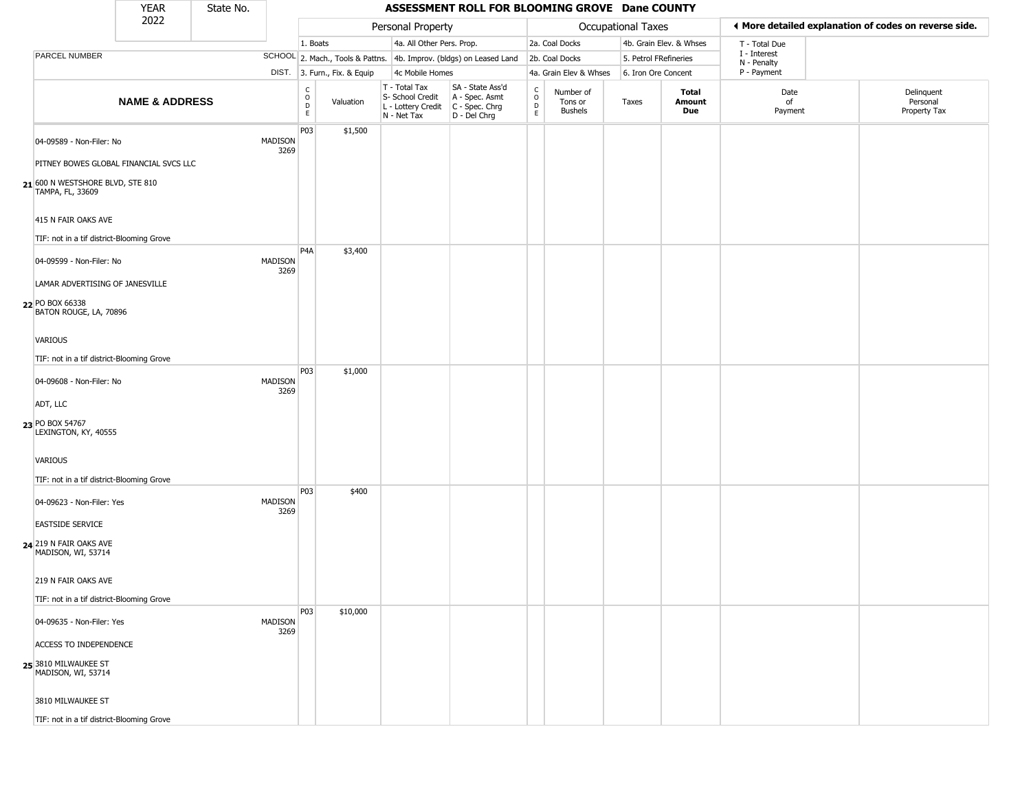|                                                       | <b>YEAR</b>               | State No. |                 |                        |                              |                                                                                       | ASSESSMENT ROLL FOR BLOOMING GROVE Dane COUNTY                      |                                    |                                        |                    |                         |                             |                                                       |
|-------------------------------------------------------|---------------------------|-----------|-----------------|------------------------|------------------------------|---------------------------------------------------------------------------------------|---------------------------------------------------------------------|------------------------------------|----------------------------------------|--------------------|-------------------------|-----------------------------|-------------------------------------------------------|
|                                                       | 2022                      |           |                 |                        |                              | Personal Property                                                                     |                                                                     |                                    |                                        | Occupational Taxes |                         |                             | ◀ More detailed explanation of codes on reverse side. |
|                                                       |                           |           |                 | 1. Boats               |                              | 4a. All Other Pers. Prop.                                                             |                                                                     |                                    | 2a. Coal Docks                         |                    | 4b. Grain Elev. & Whses | T - Total Due               |                                                       |
| PARCEL NUMBER                                         |                           |           |                 |                        |                              |                                                                                       | SCHOOL 2. Mach., Tools & Pattns. 4b. Improv. (bldgs) on Leased Land |                                    | 2b. Coal Docks                         |                    | 5. Petrol FRefineries   | I - Interest<br>N - Penalty |                                                       |
|                                                       |                           |           |                 |                        | DIST. 3. Furn., Fix. & Equip | 4c Mobile Homes                                                                       |                                                                     |                                    | 4a. Grain Elev & Whses                 |                    | 6. Iron Ore Concent     | P - Payment                 |                                                       |
|                                                       | <b>NAME &amp; ADDRESS</b> |           |                 | C<br>$\circ$<br>D<br>E | Valuation                    | T - Total Tax<br>S- School Credit<br>L - Lottery Credit C - Spec. Chrg<br>N - Net Tax | SA - State Ass'd<br>A - Spec. Asmt<br>D - Del Chrg                  | $\mathsf{C}$<br>$\circ$<br>D<br>E. | Number of<br>Tons or<br><b>Bushels</b> | Taxes              | Total<br>Amount<br>Due  | Date<br>of<br>Payment       | Delinquent<br>Personal<br>Property Tax                |
| 04-09589 - Non-Filer: No                              |                           |           | MADISON<br>3269 | P03                    | \$1,500                      |                                                                                       |                                                                     |                                    |                                        |                    |                         |                             |                                                       |
| PITNEY BOWES GLOBAL FINANCIAL SVCS LLC                |                           |           |                 |                        |                              |                                                                                       |                                                                     |                                    |                                        |                    |                         |                             |                                                       |
| 21 600 N WESTSHORE BLVD, STE 810<br>TAMPA, FL, 33609  |                           |           |                 |                        |                              |                                                                                       |                                                                     |                                    |                                        |                    |                         |                             |                                                       |
| 415 N FAIR OAKS AVE                                   |                           |           |                 |                        |                              |                                                                                       |                                                                     |                                    |                                        |                    |                         |                             |                                                       |
| TIF: not in a tif district-Blooming Grove             |                           |           |                 |                        |                              |                                                                                       |                                                                     |                                    |                                        |                    |                         |                             |                                                       |
| 04-09599 - Non-Filer: No                              |                           |           | MADISON<br>3269 | P <sub>4</sub> A       | \$3,400                      |                                                                                       |                                                                     |                                    |                                        |                    |                         |                             |                                                       |
| LAMAR ADVERTISING OF JANESVILLE                       |                           |           |                 |                        |                              |                                                                                       |                                                                     |                                    |                                        |                    |                         |                             |                                                       |
| 22 PO BOX 66338<br>BATON ROUGE, LA, 70896             |                           |           |                 |                        |                              |                                                                                       |                                                                     |                                    |                                        |                    |                         |                             |                                                       |
| VARIOUS                                               |                           |           |                 |                        |                              |                                                                                       |                                                                     |                                    |                                        |                    |                         |                             |                                                       |
| TIF: not in a tif district-Blooming Grove             |                           |           |                 |                        |                              |                                                                                       |                                                                     |                                    |                                        |                    |                         |                             |                                                       |
| 04-09608 - Non-Filer: No                              |                           |           | MADISON<br>3269 | P03                    | \$1,000                      |                                                                                       |                                                                     |                                    |                                        |                    |                         |                             |                                                       |
| ADT, LLC                                              |                           |           |                 |                        |                              |                                                                                       |                                                                     |                                    |                                        |                    |                         |                             |                                                       |
| 23 PO BOX 54767<br>LEXINGTON, KY, 40555               |                           |           |                 |                        |                              |                                                                                       |                                                                     |                                    |                                        |                    |                         |                             |                                                       |
| VARIOUS                                               |                           |           |                 |                        |                              |                                                                                       |                                                                     |                                    |                                        |                    |                         |                             |                                                       |
| TIF: not in a tif district-Blooming Grove             |                           |           |                 |                        |                              |                                                                                       |                                                                     |                                    |                                        |                    |                         |                             |                                                       |
| 04-09623 - Non-Filer: Yes                             |                           |           | MADISON<br>3269 | P03                    | \$400                        |                                                                                       |                                                                     |                                    |                                        |                    |                         |                             |                                                       |
| <b>EASTSIDE SERVICE</b>                               |                           |           |                 |                        |                              |                                                                                       |                                                                     |                                    |                                        |                    |                         |                             |                                                       |
| <b>24</b> 219 N FAIR OAKS AVE<br>MADISON, WI, 53714   |                           |           |                 |                        |                              |                                                                                       |                                                                     |                                    |                                        |                    |                         |                             |                                                       |
| 219 N FAIR OAKS AVE                                   |                           |           |                 |                        |                              |                                                                                       |                                                                     |                                    |                                        |                    |                         |                             |                                                       |
| TIF: not in a tif district-Blooming Grove             |                           |           |                 |                        |                              |                                                                                       |                                                                     |                                    |                                        |                    |                         |                             |                                                       |
| 04-09635 - Non-Filer: Yes                             |                           |           | MADISON<br>3269 | P03                    | \$10,000                     |                                                                                       |                                                                     |                                    |                                        |                    |                         |                             |                                                       |
| <b>ACCESS TO INDEPENDENCE</b>                         |                           |           |                 |                        |                              |                                                                                       |                                                                     |                                    |                                        |                    |                         |                             |                                                       |
| 25 <sup>3810</sup> MILWAUKEE ST<br>MADISON, WI, 53714 |                           |           |                 |                        |                              |                                                                                       |                                                                     |                                    |                                        |                    |                         |                             |                                                       |
| 3810 MILWAUKEE ST                                     |                           |           |                 |                        |                              |                                                                                       |                                                                     |                                    |                                        |                    |                         |                             |                                                       |
| TIF: not in a tif district-Blooming Grove             |                           |           |                 |                        |                              |                                                                                       |                                                                     |                                    |                                        |                    |                         |                             |                                                       |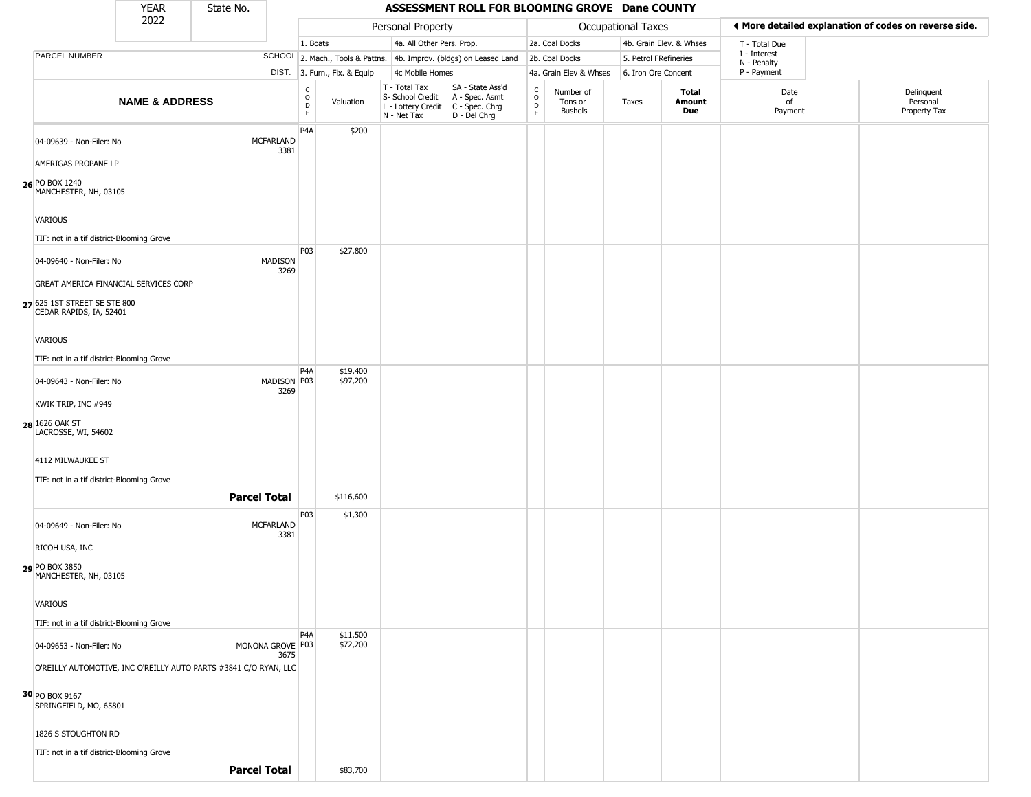|                                                                                                  | <b>YEAR</b>               | State No.                                                        |                                                                    |                              |                                                                                         | ASSESSMENT ROLL FOR BLOOMING GROVE Dane COUNTY                      |                          |                                        |                           |                               |                             |                                                       |
|--------------------------------------------------------------------------------------------------|---------------------------|------------------------------------------------------------------|--------------------------------------------------------------------|------------------------------|-----------------------------------------------------------------------------------------|---------------------------------------------------------------------|--------------------------|----------------------------------------|---------------------------|-------------------------------|-----------------------------|-------------------------------------------------------|
|                                                                                                  | 2022                      |                                                                  |                                                                    |                              | Personal Property                                                                       |                                                                     |                          |                                        | <b>Occupational Taxes</b> |                               |                             | ♦ More detailed explanation of codes on reverse side. |
|                                                                                                  |                           |                                                                  | 1. Boats                                                           |                              | 4a. All Other Pers. Prop.                                                               |                                                                     |                          | 2a. Coal Docks                         |                           | 4b. Grain Elev. & Whses       | T - Total Due               |                                                       |
| PARCEL NUMBER                                                                                    |                           |                                                                  |                                                                    |                              |                                                                                         | SCHOOL 2. Mach., Tools & Pattns. 4b. Improv. (bldgs) on Leased Land |                          | 2b. Coal Docks                         | 5. Petrol FRefineries     |                               | I - Interest<br>N - Penalty |                                                       |
|                                                                                                  |                           |                                                                  |                                                                    | DIST. 3. Furn., Fix. & Equip | 4c Mobile Homes                                                                         |                                                                     |                          | 4a. Grain Elev & Whses                 | 6. Iron Ore Concent       |                               | P - Payment                 |                                                       |
|                                                                                                  | <b>NAME &amp; ADDRESS</b> |                                                                  | $\begin{smallmatrix} C \\ O \\ D \end{smallmatrix}$<br>$\mathsf E$ | Valuation                    | T - Total Tax<br>S- School Credit<br>L - Lottery Credit   C - Spec. Chrg<br>N - Net Tax | SA - State Ass'd<br>A - Spec. Asmt<br>D - Del Chrg                  | $\int_{0}^{c}$<br>D<br>E | Number of<br>Tons or<br><b>Bushels</b> | Taxes                     | Total<br><b>Amount</b><br>Due | Date<br>of<br>Payment       | Delinquent<br>Personal<br>Property Tax                |
| 04-09639 - Non-Filer: No                                                                         |                           | <b>MCFARLAND</b><br>3381                                         | P <sub>4</sub> A                                                   | \$200                        |                                                                                         |                                                                     |                          |                                        |                           |                               |                             |                                                       |
| AMERIGAS PROPANE LP<br>26 PO BOX 1240<br>MANCHESTER, NH, 03105                                   |                           |                                                                  |                                                                    |                              |                                                                                         |                                                                     |                          |                                        |                           |                               |                             |                                                       |
| VARIOUS<br>TIF: not in a tif district-Blooming Grove                                             |                           |                                                                  |                                                                    |                              |                                                                                         |                                                                     |                          |                                        |                           |                               |                             |                                                       |
| 04-09640 - Non-Filer: No                                                                         |                           | MADISON<br>3269                                                  | P03                                                                | \$27,800                     |                                                                                         |                                                                     |                          |                                        |                           |                               |                             |                                                       |
| GREAT AMERICA FINANCIAL SERVICES CORP<br>27 625 1ST STREET SE STE 800<br>CEDAR RAPIDS, IA, 52401 |                           |                                                                  |                                                                    |                              |                                                                                         |                                                                     |                          |                                        |                           |                               |                             |                                                       |
| VARIOUS<br>TIF: not in a tif district-Blooming Grove                                             |                           |                                                                  |                                                                    |                              |                                                                                         |                                                                     |                          |                                        |                           |                               |                             |                                                       |
| 04-09643 - Non-Filer: No                                                                         |                           | MADISON P03<br>3269                                              | P <sub>4</sub> A                                                   | \$19,400<br>\$97,200         |                                                                                         |                                                                     |                          |                                        |                           |                               |                             |                                                       |
| KWIK TRIP, INC #949<br>28 1626 OAK ST<br>LACROSSE, WI, 54602                                     |                           |                                                                  |                                                                    |                              |                                                                                         |                                                                     |                          |                                        |                           |                               |                             |                                                       |
| 4112 MILWAUKEE ST<br>TIF: not in a tif district-Blooming Grove                                   |                           |                                                                  |                                                                    |                              |                                                                                         |                                                                     |                          |                                        |                           |                               |                             |                                                       |
|                                                                                                  |                           | <b>Parcel Total</b>                                              |                                                                    | \$116,600                    |                                                                                         |                                                                     |                          |                                        |                           |                               |                             |                                                       |
| 04-09649 - Non-Filer: No                                                                         |                           | <b>MCFARLAND</b><br>3381                                         | P03                                                                | \$1,300                      |                                                                                         |                                                                     |                          |                                        |                           |                               |                             |                                                       |
| RICOH USA, INC                                                                                   |                           |                                                                  |                                                                    |                              |                                                                                         |                                                                     |                          |                                        |                           |                               |                             |                                                       |
| 29 PO BOX 3850<br>MANCHESTER, NH, 03105                                                          |                           |                                                                  |                                                                    |                              |                                                                                         |                                                                     |                          |                                        |                           |                               |                             |                                                       |
| VARIOUS<br>TIF: not in a tif district-Blooming Grove                                             |                           |                                                                  |                                                                    |                              |                                                                                         |                                                                     |                          |                                        |                           |                               |                             |                                                       |
| 04-09653 - Non-Filer: No                                                                         |                           | MONONA GROVE P03<br>3675                                         | P4A                                                                | \$11,500<br>\$72,200         |                                                                                         |                                                                     |                          |                                        |                           |                               |                             |                                                       |
| 30 PO BOX 9167                                                                                   |                           | O'REILLY AUTOMOTIVE, INC O'REILLY AUTO PARTS #3841 C/O RYAN, LLC |                                                                    |                              |                                                                                         |                                                                     |                          |                                        |                           |                               |                             |                                                       |
| SPRINGFIELD, MO, 65801<br>1826 S STOUGHTON RD                                                    |                           |                                                                  |                                                                    |                              |                                                                                         |                                                                     |                          |                                        |                           |                               |                             |                                                       |
| TIF: not in a tif district-Blooming Grove                                                        |                           |                                                                  |                                                                    |                              |                                                                                         |                                                                     |                          |                                        |                           |                               |                             |                                                       |
|                                                                                                  |                           | <b>Parcel Total</b>                                              |                                                                    | \$83,700                     |                                                                                         |                                                                     |                          |                                        |                           |                               |                             |                                                       |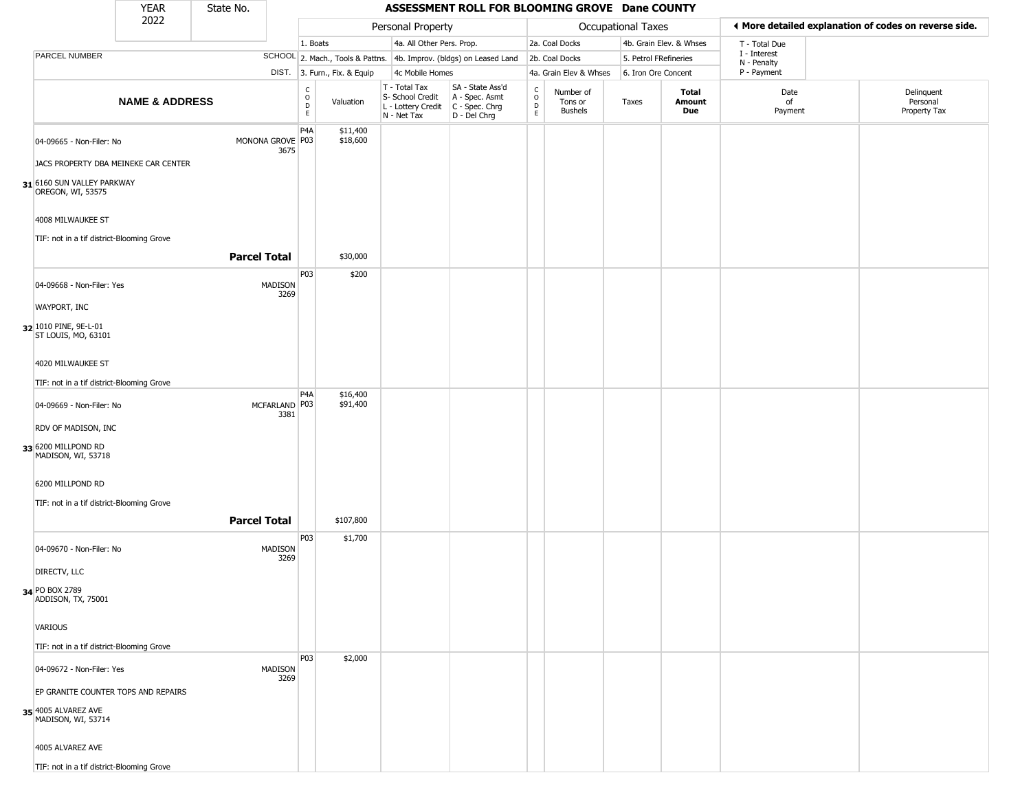|                                                                                  | <b>YEAR</b>               | State No.           |                          |                              |                                                                                         | ASSESSMENT ROLL FOR BLOOMING GROVE Dane COUNTY                      |                        |                                        |                           |                         |                             |                                                       |
|----------------------------------------------------------------------------------|---------------------------|---------------------|--------------------------|------------------------------|-----------------------------------------------------------------------------------------|---------------------------------------------------------------------|------------------------|----------------------------------------|---------------------------|-------------------------|-----------------------------|-------------------------------------------------------|
|                                                                                  | 2022                      |                     |                          |                              | Personal Property                                                                       |                                                                     |                        |                                        | <b>Occupational Taxes</b> |                         |                             | ♦ More detailed explanation of codes on reverse side. |
|                                                                                  |                           |                     | 1. Boats                 |                              | 4a. All Other Pers. Prop.                                                               |                                                                     |                        | 2a. Coal Docks                         |                           | 4b. Grain Elev. & Whses | T - Total Due               |                                                       |
| PARCEL NUMBER                                                                    |                           |                     |                          |                              |                                                                                         | SCHOOL 2. Mach., Tools & Pattns. 4b. Improv. (bldgs) on Leased Land |                        | 2b. Coal Docks                         | 5. Petrol FRefineries     |                         | I - Interest<br>N - Penalty |                                                       |
|                                                                                  |                           |                     |                          | DIST. 3. Furn., Fix. & Equip | 4c Mobile Homes                                                                         |                                                                     |                        | 4a. Grain Elev & Whses                 | 6. Iron Ore Concent       |                         | P - Payment                 |                                                       |
|                                                                                  | <b>NAME &amp; ADDRESS</b> |                     | C<br>D<br>D<br>E         | Valuation                    | T - Total Tax<br>S- School Credit<br>L - Lottery Credit   C - Spec. Chrg<br>N - Net Tax | SA - State Ass'd<br>A - Spec. Asmt<br>D - Del Chrg                  | C<br>$\circ$<br>D<br>E | Number of<br>Tons or<br><b>Bushels</b> | Taxes                     | Total<br>Amount<br>Due  | Date<br>of<br>Payment       | Delinquent<br>Personal<br>Property Tax                |
| 04-09665 - Non-Filer: No<br>JACS PROPERTY DBA MEINEKE CAR CENTER                 |                           | MONONA GROVE P03    | P <sub>4</sub> A<br>3675 | \$11,400<br>\$18,600         |                                                                                         |                                                                     |                        |                                        |                           |                         |                             |                                                       |
| 31 6160 SUN VALLEY PARKWAY<br>OREGON, WI, 53575                                  |                           |                     |                          |                              |                                                                                         |                                                                     |                        |                                        |                           |                         |                             |                                                       |
| 4008 MILWAUKEE ST<br>TIF: not in a tif district-Blooming Grove                   |                           |                     |                          |                              |                                                                                         |                                                                     |                        |                                        |                           |                         |                             |                                                       |
|                                                                                  |                           | <b>Parcel Total</b> |                          | \$30,000                     |                                                                                         |                                                                     |                        |                                        |                           |                         |                             |                                                       |
| 04-09668 - Non-Filer: Yes                                                        |                           | MADISON             | P03<br>3269              | \$200                        |                                                                                         |                                                                     |                        |                                        |                           |                         |                             |                                                       |
| <b>WAYPORT, INC</b><br>32 1010 PINE, 9E-L-01<br>ST LOUIS, MO, 63101              |                           |                     |                          |                              |                                                                                         |                                                                     |                        |                                        |                           |                         |                             |                                                       |
| 4020 MILWAUKEE ST                                                                |                           |                     |                          |                              |                                                                                         |                                                                     |                        |                                        |                           |                         |                             |                                                       |
| TIF: not in a tif district-Blooming Grove                                        |                           |                     | P <sub>4</sub> A         | \$16,400                     |                                                                                         |                                                                     |                        |                                        |                           |                         |                             |                                                       |
| 04-09669 - Non-Filer: No                                                         |                           | MCFARLAND P03       | 3381                     | \$91,400                     |                                                                                         |                                                                     |                        |                                        |                           |                         |                             |                                                       |
| RDV OF MADISON, INC<br>33 6200 MILLPOND RD<br>MADISON, WI, 53718                 |                           |                     |                          |                              |                                                                                         |                                                                     |                        |                                        |                           |                         |                             |                                                       |
| 6200 MILLPOND RD                                                                 |                           |                     |                          |                              |                                                                                         |                                                                     |                        |                                        |                           |                         |                             |                                                       |
| TIF: not in a tif district-Blooming Grove                                        |                           |                     |                          |                              |                                                                                         |                                                                     |                        |                                        |                           |                         |                             |                                                       |
|                                                                                  |                           | <b>Parcel Total</b> |                          | \$107,800                    |                                                                                         |                                                                     |                        |                                        |                           |                         |                             |                                                       |
| 04-09670 - Non-Filer: No                                                         |                           | MADISON             | P03<br>3269              | \$1,700                      |                                                                                         |                                                                     |                        |                                        |                           |                         |                             |                                                       |
| DIRECTV, LLC                                                                     |                           |                     |                          |                              |                                                                                         |                                                                     |                        |                                        |                           |                         |                             |                                                       |
| 34 PO BOX 2789<br>ADDISON, TX, 75001                                             |                           |                     |                          |                              |                                                                                         |                                                                     |                        |                                        |                           |                         |                             |                                                       |
| <b>VARIOUS</b>                                                                   |                           |                     |                          |                              |                                                                                         |                                                                     |                        |                                        |                           |                         |                             |                                                       |
| TIF: not in a tif district-Blooming Grove                                        |                           |                     |                          |                              |                                                                                         |                                                                     |                        |                                        |                           |                         |                             |                                                       |
| 04-09672 - Non-Filer: Yes                                                        |                           | MADISON             | P03                      | \$2,000                      |                                                                                         |                                                                     |                        |                                        |                           |                         |                             |                                                       |
|                                                                                  |                           |                     | 3269                     |                              |                                                                                         |                                                                     |                        |                                        |                           |                         |                             |                                                       |
| EP GRANITE COUNTER TOPS AND REPAIRS<br>35 4005 ALVAREZ AVE<br>MADISON, WI, 53714 |                           |                     |                          |                              |                                                                                         |                                                                     |                        |                                        |                           |                         |                             |                                                       |
| 4005 ALVAREZ AVE                                                                 |                           |                     |                          |                              |                                                                                         |                                                                     |                        |                                        |                           |                         |                             |                                                       |
| TIF: not in a tif district-Blooming Grove                                        |                           |                     |                          |                              |                                                                                         |                                                                     |                        |                                        |                           |                         |                             |                                                       |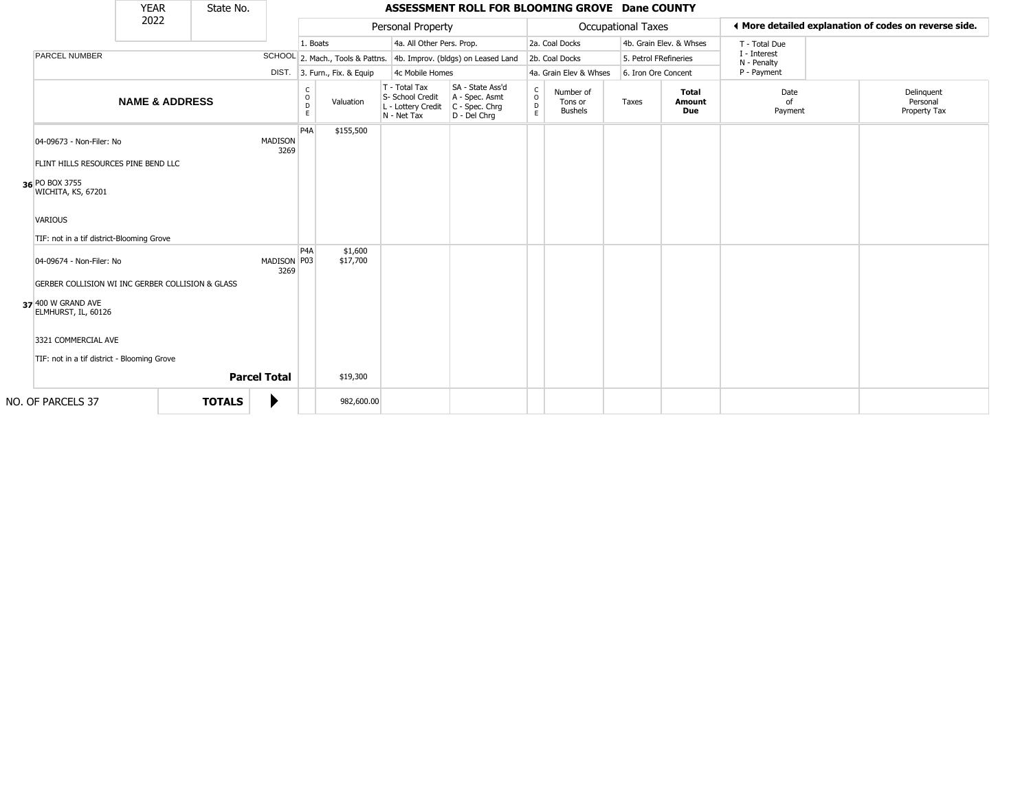|                                                                              | <b>YEAR</b>               | State No.     |                     |                        |                        |                              |                                                                        | ASSESSMENT ROLL FOR BLOOMING GROVE Dane COUNTY                         |                                   |                                        |                           |                               |                             |                                                       |
|------------------------------------------------------------------------------|---------------------------|---------------|---------------------|------------------------|------------------------|------------------------------|------------------------------------------------------------------------|------------------------------------------------------------------------|-----------------------------------|----------------------------------------|---------------------------|-------------------------------|-----------------------------|-------------------------------------------------------|
|                                                                              | 2022                      |               |                     |                        |                        |                              | Personal Property                                                      |                                                                        |                                   |                                        | <b>Occupational Taxes</b> |                               |                             | ← More detailed explanation of codes on reverse side. |
|                                                                              |                           |               |                     |                        | 1. Boats               |                              | 4a. All Other Pers. Prop.                                              |                                                                        |                                   | 2a. Coal Docks                         |                           | 4b. Grain Elev. & Whses       | T - Total Due               |                                                       |
| PARCEL NUMBER                                                                |                           |               |                     |                        |                        |                              |                                                                        | SCHOOL 2. Mach., Tools & Pattns. 4b. Improv. (bldgs) on Leased Land    |                                   | 2b. Coal Docks                         | 5. Petrol FRefineries     |                               | I - Interest<br>N - Penalty |                                                       |
|                                                                              |                           |               |                     |                        |                        | DIST. 3. Furn., Fix. & Equip | 4c Mobile Homes                                                        |                                                                        |                                   | 4a. Grain Elev & Whses                 | 6. Iron Ore Concent       |                               | P - Payment                 |                                                       |
|                                                                              | <b>NAME &amp; ADDRESS</b> |               |                     |                        | C<br>$\circ$<br>D<br>E | Valuation                    | T - Total Tax<br>S- School Credit<br>L - Lottery Credit<br>N - Net Tax | SA - State Ass'd<br>A - Spec. Asmt<br>$C - Spec. Chrg$<br>D - Del Chrq | $\mathsf{C}$<br>$\circ$<br>D<br>E | Number of<br>Tons or<br><b>Bushels</b> | Taxes                     | <b>Total</b><br>Amount<br>Due | Date<br>of<br>Payment       | Delinquent<br>Personal<br>Property Tax                |
| 04-09673 - Non-Filer: No                                                     |                           |               |                     | <b>MADISON</b><br>3269 | P <sub>4</sub> A       | \$155,500                    |                                                                        |                                                                        |                                   |                                        |                           |                               |                             |                                                       |
| FLINT HILLS RESOURCES PINE BEND LLC<br>36 PO BOX 3755<br>WICHITA, KS, 67201  |                           |               |                     |                        |                        |                              |                                                                        |                                                                        |                                   |                                        |                           |                               |                             |                                                       |
| <b>VARIOUS</b><br>TIF: not in a tif district-Blooming Grove                  |                           |               |                     |                        |                        |                              |                                                                        |                                                                        |                                   |                                        |                           |                               |                             |                                                       |
| 04-09674 - Non-Filer: No<br>GERBER COLLISION WI INC GERBER COLLISION & GLASS |                           |               |                     | MADISON P03<br>3269    | P <sub>4</sub> A       | \$1,600<br>\$17,700          |                                                                        |                                                                        |                                   |                                        |                           |                               |                             |                                                       |
| 37 400 W GRAND AVE<br>ELMHURST, IL, 60126                                    |                           |               |                     |                        |                        |                              |                                                                        |                                                                        |                                   |                                        |                           |                               |                             |                                                       |
| 3321 COMMERCIAL AVE                                                          |                           |               |                     |                        |                        |                              |                                                                        |                                                                        |                                   |                                        |                           |                               |                             |                                                       |
| TIF: not in a tif district - Blooming Grove                                  |                           |               |                     |                        |                        |                              |                                                                        |                                                                        |                                   |                                        |                           |                               |                             |                                                       |
|                                                                              |                           |               | <b>Parcel Total</b> |                        |                        | \$19,300                     |                                                                        |                                                                        |                                   |                                        |                           |                               |                             |                                                       |
| NO. OF PARCELS 37                                                            |                           | <b>TOTALS</b> |                     |                        |                        | 982,600.00                   |                                                                        |                                                                        |                                   |                                        |                           |                               |                             |                                                       |